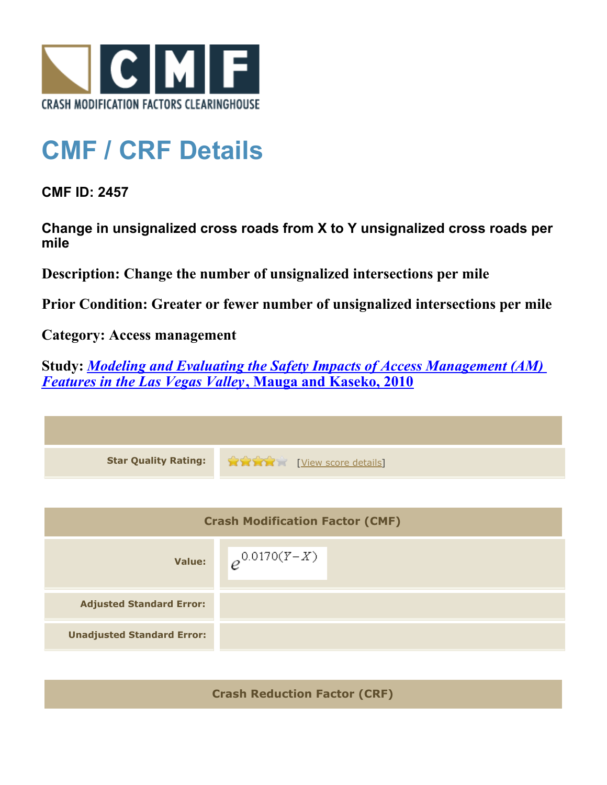

## **CMF / CRF Details**

**CMF ID: 2457**

**Change in unsignalized cross roads from X to Y unsignalized cross roads per mile**

**Description: Change the number of unsignalized intersections per mile**

**Prior Condition: Greater or fewer number of unsignalized intersections per mile**

**Category: Access management**

**Study:** *[Modeling and Evaluating the Safety Impacts of Access Management \(AM\)](http://www.cmfclearinghouse.org/study_detail.cfm?stid=165) [Features in the Las Vegas Valley](http://www.cmfclearinghouse.org/study_detail.cfm?stid=165)***[, Mauga and Kaseko, 2010](http://www.cmfclearinghouse.org/study_detail.cfm?stid=165)**



**Crash Reduction Factor (CRF)**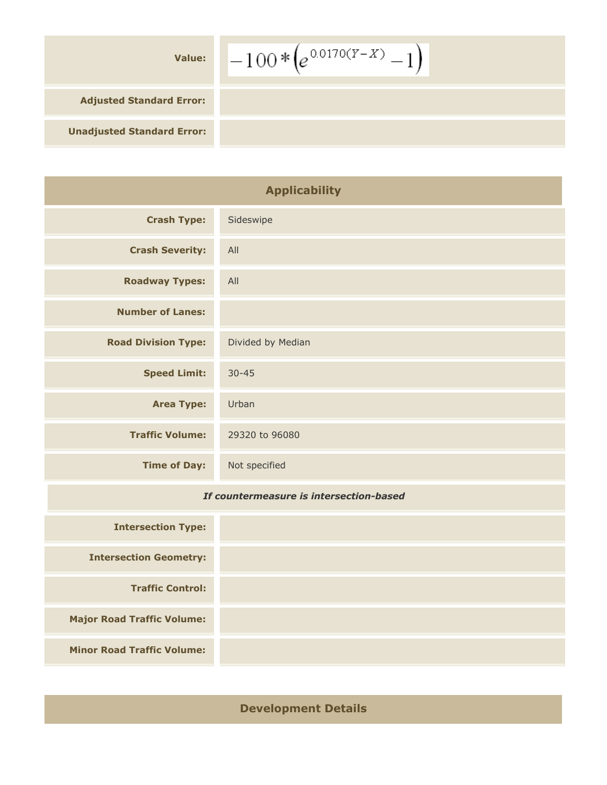| <b>Value:</b>                     | $\left(-100*(e^{0.0170(Y-X)}-1\right)$ |
|-----------------------------------|----------------------------------------|
| <b>Adjusted Standard Error:</b>   |                                        |
| <b>Unadjusted Standard Error:</b> |                                        |

| <b>Applicability</b>       |                   |  |  |  |
|----------------------------|-------------------|--|--|--|
| <b>Crash Type:</b>         | Sideswipe         |  |  |  |
| <b>Crash Severity:</b>     | All               |  |  |  |
| <b>Roadway Types:</b>      | All               |  |  |  |
| <b>Number of Lanes:</b>    |                   |  |  |  |
| <b>Road Division Type:</b> | Divided by Median |  |  |  |
| <b>Speed Limit:</b>        | $30 - 45$         |  |  |  |
| <b>Area Type:</b>          | Urban             |  |  |  |
| <b>Traffic Volume:</b>     | 29320 to 96080    |  |  |  |
| <b>Time of Day:</b>        | Not specified     |  |  |  |
|                            |                   |  |  |  |

## *If countermeasure is intersection-based*

| <b>Intersection Type:</b>         |  |  |  |
|-----------------------------------|--|--|--|
| <b>Intersection Geometry:</b>     |  |  |  |
| <b>Traffic Control:</b>           |  |  |  |
| <b>Major Road Traffic Volume:</b> |  |  |  |
| <b>Minor Road Traffic Volume:</b> |  |  |  |

## **Development Details**